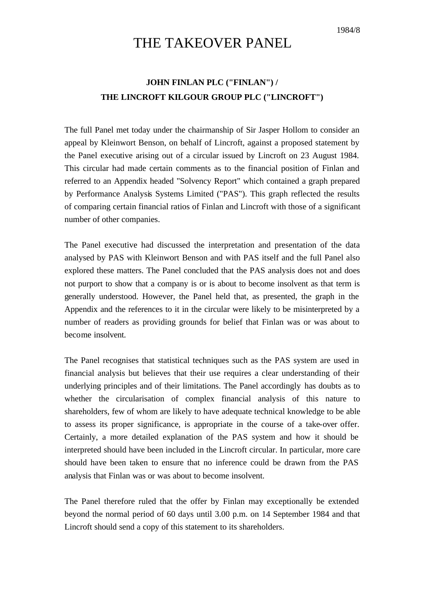## THE TAKEOVER PANEL

## **JOHN FINLAN PLC ("FINLAN") / THE LINCROFT KILGOUR GROUP PLC ("LINCROFT")**

The full Panel met today under the chairmanship of Sir Jasper Hollom to consider an appeal by Kleinwort Benson, on behalf of Lincroft, against a proposed statement by the Panel executive arising out of a circular issued by Lincroft on 23 August 1984. This circular had made certain comments as to the financial position of Finlan and referred to an Appendix headed "Solvency Report" which contained a graph prepared by Performance Analysis Systems Limited ("PAS"). This graph reflected the results of comparing certain financial ratios of Finlan and Lincroft with those of a significant number of other companies.

The Panel executive had discussed the interpretation and presentation of the data analysed by PAS with Kleinwort Benson and with PAS itself and the full Panel also explored these matters. The Panel concluded that the PAS analysis does not and does not purport to show that a company is or is about to become insolvent as that term is generally understood. However, the Panel held that, as presented, the graph in the Appendix and the references to it in the circular were likely to be misinterpreted by a number of readers as providing grounds for belief that Finlan was or was about to become insolvent.

The Panel recognises that statistical techniques such as the PAS system are used in financial analysis but believes that their use requires a clear understanding of their underlying principles and of their limitations. The Panel accordingly has doubts as to whether the circularisation of complex financial analysis of this nature to shareholders, few of whom are likely to have adequate technical knowledge to be able to assess its proper significance, is appropriate in the course of a take-over offer. Certainly, a more detailed explanation of the PAS system and how it should be interpreted should have been included in the Lincroft circular. In particular, more care should have been taken to ensure that no inference could be drawn from the PAS analysis that Finlan was or was about to become insolvent.

The Panel therefore ruled that the offer by Finlan may exceptionally be extended beyond the normal period of 60 days until 3.00 p.m. on 14 September 1984 and that Lincroft should send a copy of this statement to its shareholders.